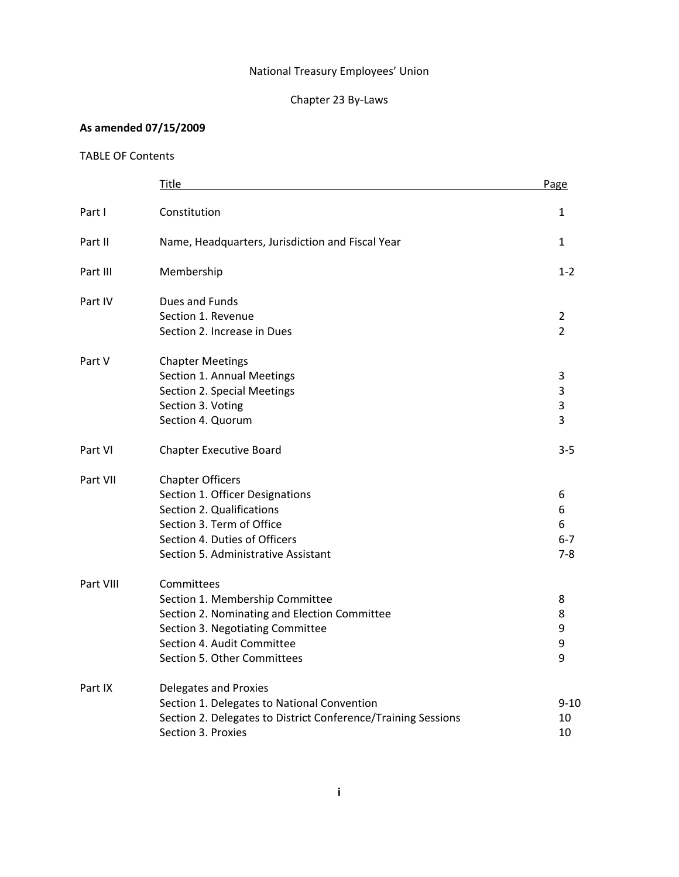## National Treasury Employees' Union

# Chapter 23 By-Laws

## **As amended 07/15/2009**

## TABLE OF Contents

|           | Title                                                         | Page                             |
|-----------|---------------------------------------------------------------|----------------------------------|
| Part I    | Constitution                                                  | 1                                |
| Part II   | Name, Headquarters, Jurisdiction and Fiscal Year              | $\mathbf{1}$                     |
| Part III  | Membership                                                    | $1 - 2$                          |
| Part IV   | Dues and Funds                                                |                                  |
|           | Section 1. Revenue<br>Section 2. Increase in Dues             | $\overline{2}$<br>$\overline{2}$ |
| Part V    | <b>Chapter Meetings</b>                                       |                                  |
|           | Section 1. Annual Meetings                                    | 3                                |
|           | Section 2. Special Meetings                                   | 3                                |
|           | Section 3. Voting                                             | 3                                |
|           | Section 4. Quorum                                             | 3                                |
| Part VI   | <b>Chapter Executive Board</b>                                | $3 - 5$                          |
| Part VII  | <b>Chapter Officers</b>                                       |                                  |
|           | Section 1. Officer Designations                               | 6                                |
|           | Section 2. Qualifications                                     | 6                                |
|           | Section 3. Term of Office                                     | 6                                |
|           | Section 4. Duties of Officers                                 | $6 - 7$                          |
|           | Section 5. Administrative Assistant                           | $7 - 8$                          |
| Part VIII | Committees                                                    |                                  |
|           | Section 1. Membership Committee                               | 8                                |
|           | Section 2. Nominating and Election Committee                  | 8                                |
|           | Section 3. Negotiating Committee                              | 9                                |
|           | Section 4. Audit Committee                                    | 9                                |
|           | Section 5. Other Committees                                   | 9                                |
| Part IX   | <b>Delegates and Proxies</b>                                  |                                  |
|           | Section 1. Delegates to National Convention                   | 9-10                             |
|           | Section 2. Delegates to District Conference/Training Sessions | 10                               |
|           | Section 3. Proxies                                            | 10                               |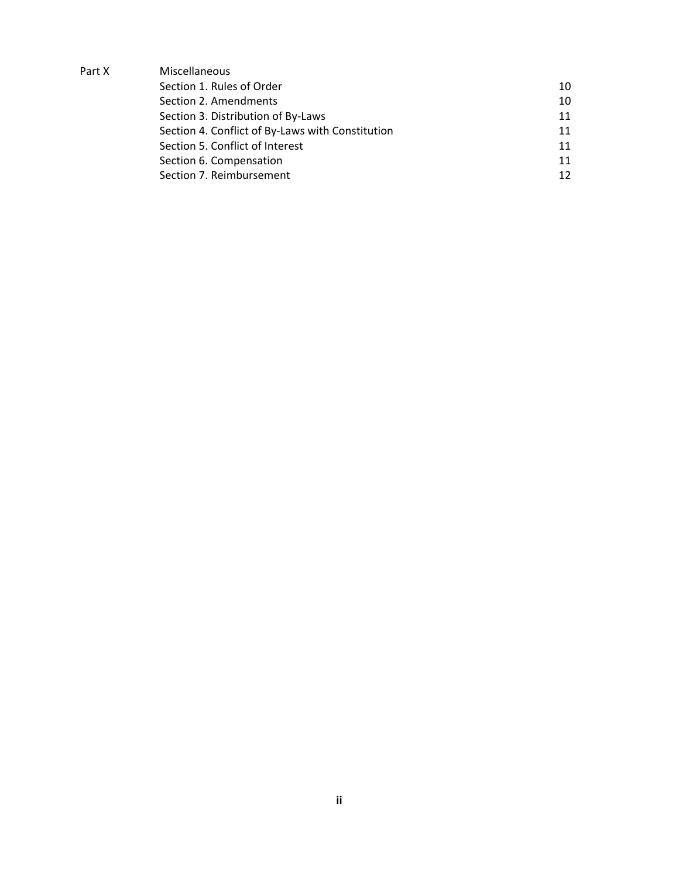| Part X | Miscellaneous                                    |    |
|--------|--------------------------------------------------|----|
|        | Section 1. Rules of Order                        | 10 |
|        | Section 2. Amendments                            | 10 |
|        | Section 3. Distribution of By-Laws               | 11 |
|        | Section 4. Conflict of By-Laws with Constitution | 11 |
|        | Section 5. Conflict of Interest                  | 11 |
|        | Section 6. Compensation                          | 11 |
|        | Section 7. Reimbursement                         | 12 |
|        |                                                  |    |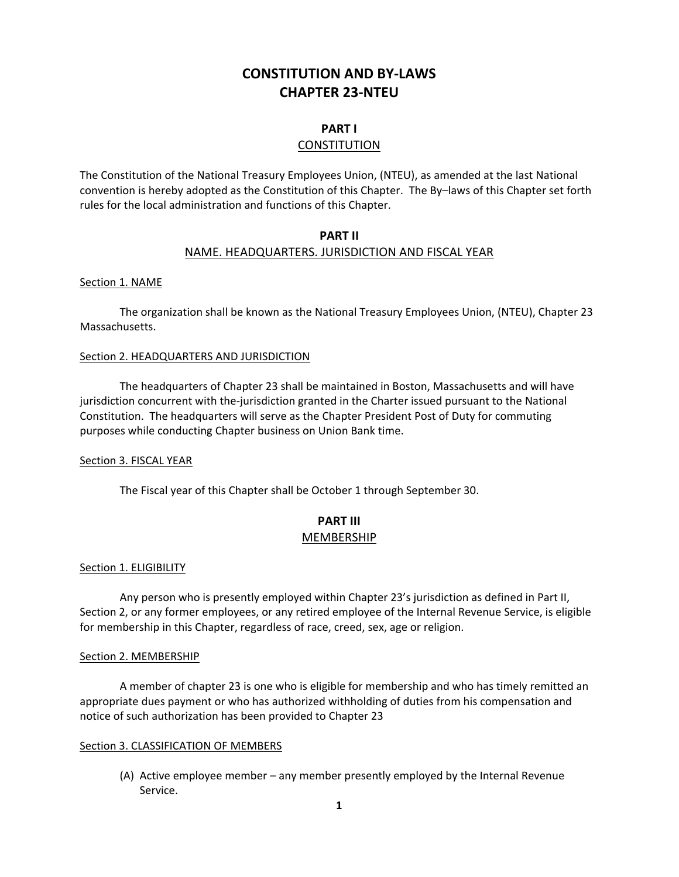# **CONSTITUTION AND BY-LAWS CHAPTER 23-NTEU**

### **PART I**

#### **CONSTITUTION**

The Constitution of the National Treasury Employees Union, (NTEU), as amended at the last National convention is hereby adopted as the Constitution of this Chapter. The By–laws of this Chapter set forth rules for the local administration and functions of this Chapter.

### **PART II**  NAME. HEADQUARTERS. JURISDICTION AND FISCAL YEAR

#### Section 1. NAME

 The organization shall be known as the National Treasury Employees Union, (NTEU), Chapter 23 Massachusetts.

#### Section 2. HEADQUARTERS AND JURISDICTION

 The headquarters of Chapter 23 shall be maintained in Boston, Massachusetts and will have jurisdiction concurrent with the-jurisdiction granted in the Charter issued pursuant to the National Constitution. The headquarters will serve as the Chapter President Post of Duty for commuting purposes while conducting Chapter business on Union Bank time.

#### Section 3. FISCAL YEAR

The Fiscal year of this Chapter shall be October 1 through September 30.

## **PART III**  MEMBERSHIP

#### Section 1. ELIGIBILITY

 Any person who is presently employed within Chapter 23's jurisdiction as defined in Part II, Section 2, or any former employees, or any retired employee of the Internal Revenue Service, is eligible for membership in this Chapter, regardless of race, creed, sex, age or religion.

#### Section 2. MEMBERSHIP

 A member of chapter 23 is one who is eligible for membership and who has timely remitted an appropriate dues payment or who has authorized withholding of duties from his compensation and notice of such authorization has been provided to Chapter 23

#### Section 3. CLASSIFICATION OF MEMBERS

(A) Active employee member – any member presently employed by the Internal Revenue Service.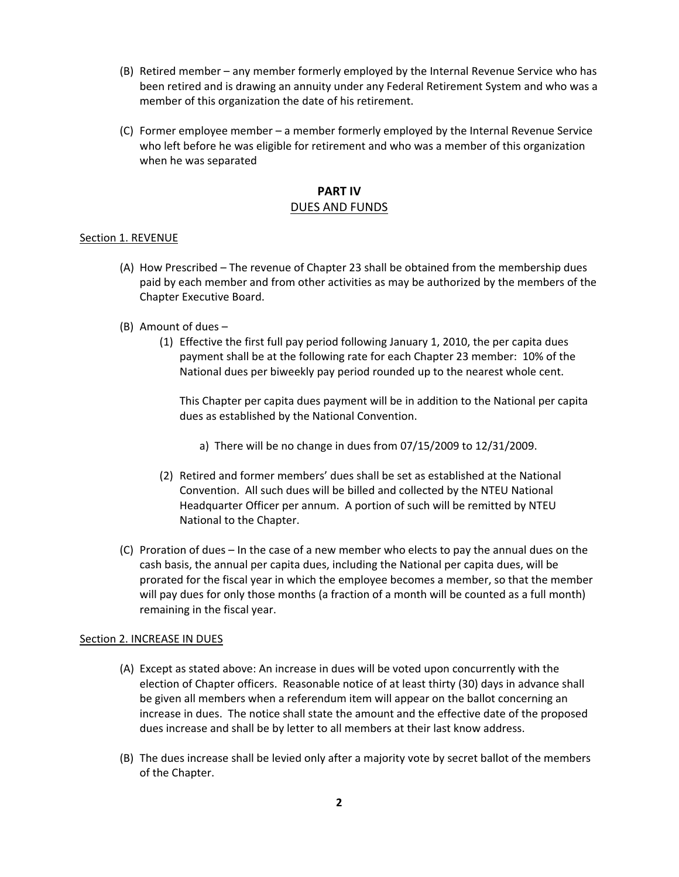- (B) Retired member any member formerly employed by the Internal Revenue Service who has been retired and is drawing an annuity under any Federal Retirement System and who was a member of this organization the date of his retirement.
- (C) Former employee member a member formerly employed by the Internal Revenue Service who left before he was eligible for retirement and who was a member of this organization when he was separated

### **PART IV**  DUES AND FUNDS

#### Section 1. REVENUE

- (A) How Prescribed The revenue of Chapter 23 shall be obtained from the membership dues paid by each member and from other activities as may be authorized by the members of the Chapter Executive Board.
- (B) Amount of dues
	- (1) Effective the first full pay period following January 1, 2010, the per capita dues payment shall be at the following rate for each Chapter 23 member: 10% of the National dues per biweekly pay period rounded up to the nearest whole cent.

This Chapter per capita dues payment will be in addition to the National per capita dues as established by the National Convention.

- a) There will be no change in dues from 07/15/2009 to 12/31/2009.
- (2) Retired and former members' dues shall be set as established at the National Convention. All such dues will be billed and collected by the NTEU National Headquarter Officer per annum. A portion of such will be remitted by NTEU National to the Chapter.
- (C) Proration of dues In the case of a new member who elects to pay the annual dues on the cash basis, the annual per capita dues, including the National per capita dues, will be prorated for the fiscal year in which the employee becomes a member, so that the member will pay dues for only those months (a fraction of a month will be counted as a full month) remaining in the fiscal year.

#### Section 2. INCREASE IN DUES

- (A) Except as stated above: An increase in dues will be voted upon concurrently with the election of Chapter officers. Reasonable notice of at least thirty (30) days in advance shall be given all members when a referendum item will appear on the ballot concerning an increase in dues. The notice shall state the amount and the effective date of the proposed dues increase and shall be by letter to all members at their last know address.
- (B) The dues increase shall be levied only after a majority vote by secret ballot of the members of the Chapter.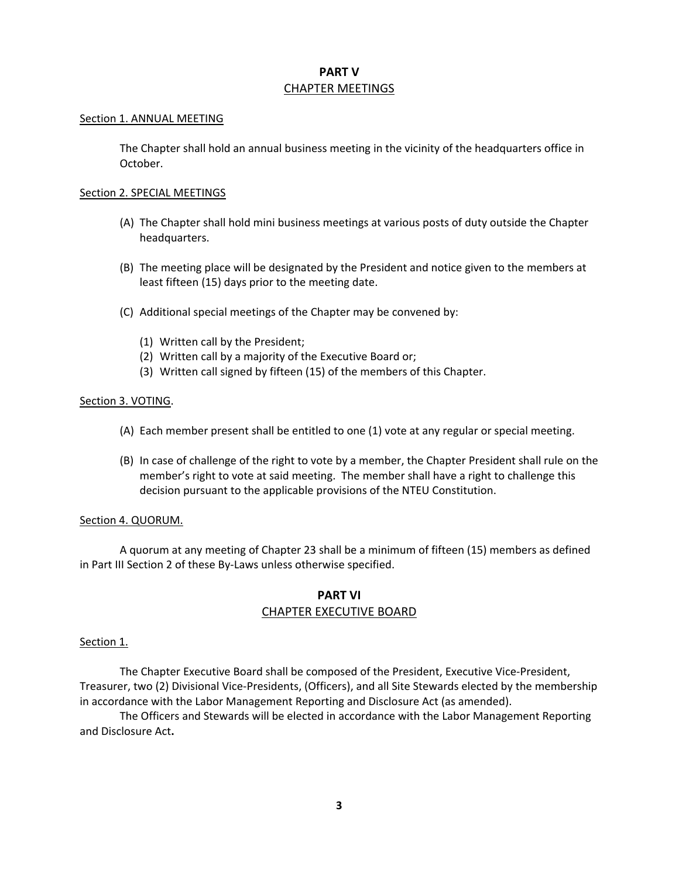## **PART V**  CHAPTER MEETINGS

#### Section 1. ANNUAL MEETING

The Chapter shall hold an annual business meeting in the vicinity of the headquarters office in October.

#### Section 2. SPECIAL MEETINGS

- (A) The Chapter shall hold mini business meetings at various posts of duty outside the Chapter headquarters.
- (B) The meeting place will be designated by the President and notice given to the members at least fifteen (15) days prior to the meeting date.
- (C) Additional special meetings of the Chapter may be convened by:
	- (1) Written call by the President;
	- (2) Written call by a majority of the Executive Board or;
	- (3) Written call signed by fifteen (15) of the members of this Chapter.

#### Section 3. VOTING.

- (A) Each member present shall be entitled to one (1) vote at any regular or special meeting.
- (B) In case of challenge of the right to vote by a member, the Chapter President shall rule on the member's right to vote at said meeting. The member shall have a right to challenge this decision pursuant to the applicable provisions of the NTEU Constitution.

#### Section 4. QUORUM.

 A quorum at any meeting of Chapter 23 shall be a minimum of fifteen (15) members as defined in Part III Section 2 of these By-Laws unless otherwise specified.

## **PART VI**  CHAPTER EXECUTIVE BOARD

#### Section 1.

 The Chapter Executive Board shall be composed of the President, Executive Vice-President, Treasurer, two (2) Divisional Vice-Presidents, (Officers), and all Site Stewards elected by the membership in accordance with the Labor Management Reporting and Disclosure Act (as amended).

 The Officers and Stewards will be elected in accordance with the Labor Management Reporting and Disclosure Act**.**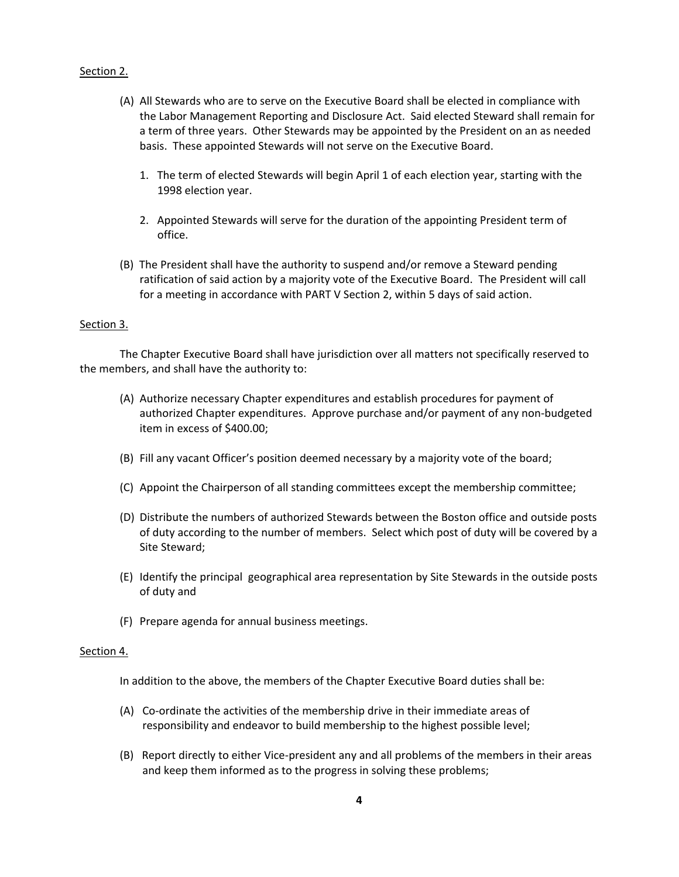#### Section 2.

- (A) All Stewards who are to serve on the Executive Board shall be elected in compliance with the Labor Management Reporting and Disclosure Act. Said elected Steward shall remain for a term of three years. Other Stewards may be appointed by the President on an as needed basis. These appointed Stewards will not serve on the Executive Board.
	- 1. The term of elected Stewards will begin April 1 of each election year, starting with the 1998 election year.
	- 2. Appointed Stewards will serve for the duration of the appointing President term of office.
- (B) The President shall have the authority to suspend and/or remove a Steward pending ratification of said action by a majority vote of the Executive Board. The President will call for a meeting in accordance with PART V Section 2, within 5 days of said action.

#### Section 3.

 The Chapter Executive Board shall have jurisdiction over all matters not specifically reserved to the members, and shall have the authority to:

- (A) Authorize necessary Chapter expenditures and establish procedures for payment of authorized Chapter expenditures. Approve purchase and/or payment of any non-budgeted item in excess of \$400.00;
- (B) Fill any vacant Officer's position deemed necessary by a majority vote of the board;
- (C) Appoint the Chairperson of all standing committees except the membership committee;
- (D) Distribute the numbers of authorized Stewards between the Boston office and outside posts of duty according to the number of members. Select which post of duty will be covered by a Site Steward;
- (E) Identify the principal geographical area representation by Site Stewards in the outside posts of duty and
- (F) Prepare agenda for annual business meetings.

#### Section 4.

In addition to the above, the members of the Chapter Executive Board duties shall be:

- (A) Co-ordinate the activities of the membership drive in their immediate areas of responsibility and endeavor to build membership to the highest possible level;
- (B) Report directly to either Vice-president any and all problems of the members in their areas and keep them informed as to the progress in solving these problems;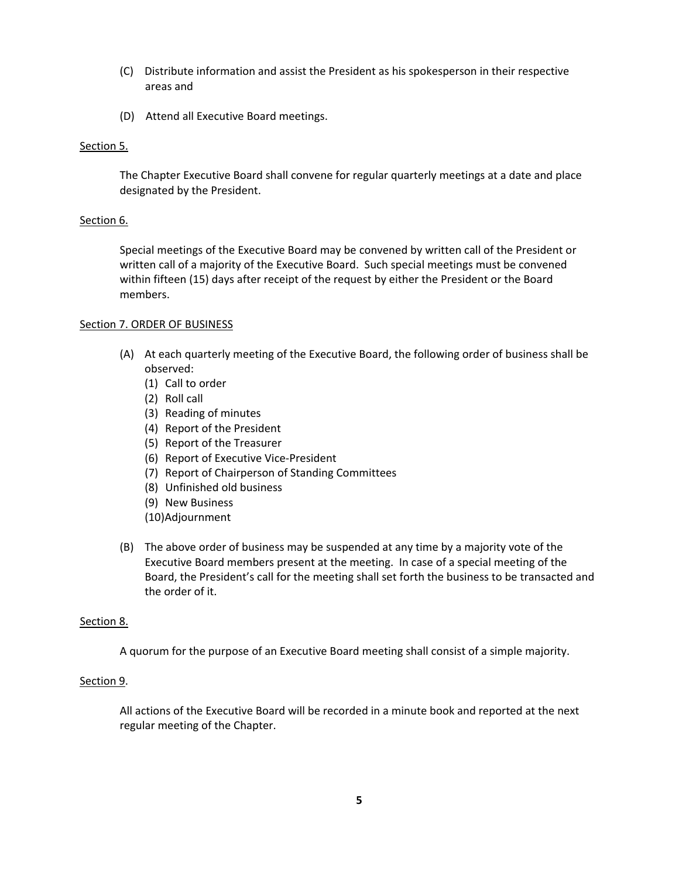- (C) Distribute information and assist the President as his spokesperson in their respective areas and
- (D) Attend all Executive Board meetings.

#### Section 5.

The Chapter Executive Board shall convene for regular quarterly meetings at a date and place designated by the President.

#### Section 6.

Special meetings of the Executive Board may be convened by written call of the President or written call of a majority of the Executive Board. Such special meetings must be convened within fifteen (15) days after receipt of the request by either the President or the Board members.

#### Section 7. ORDER OF BUSINESS

- (A) At each quarterly meeting of the Executive Board, the following order of business shall be observed:
	- (1) Call to order
	- (2) Roll call
	- (3) Reading of minutes
	- (4) Report of the President
	- (5) Report of the Treasurer
	- (6) Report of Executive Vice-President
	- (7) Report of Chairperson of Standing Committees
	- (8) Unfinished old business
	- (9) New Business
	- (10)Adjournment
- (B) The above order of business may be suspended at any time by a majority vote of the Executive Board members present at the meeting. In case of a special meeting of the Board, the President's call for the meeting shall set forth the business to be transacted and the order of it.

#### Section 8.

A quorum for the purpose of an Executive Board meeting shall consist of a simple majority.

#### Section 9.

All actions of the Executive Board will be recorded in a minute book and reported at the next regular meeting of the Chapter.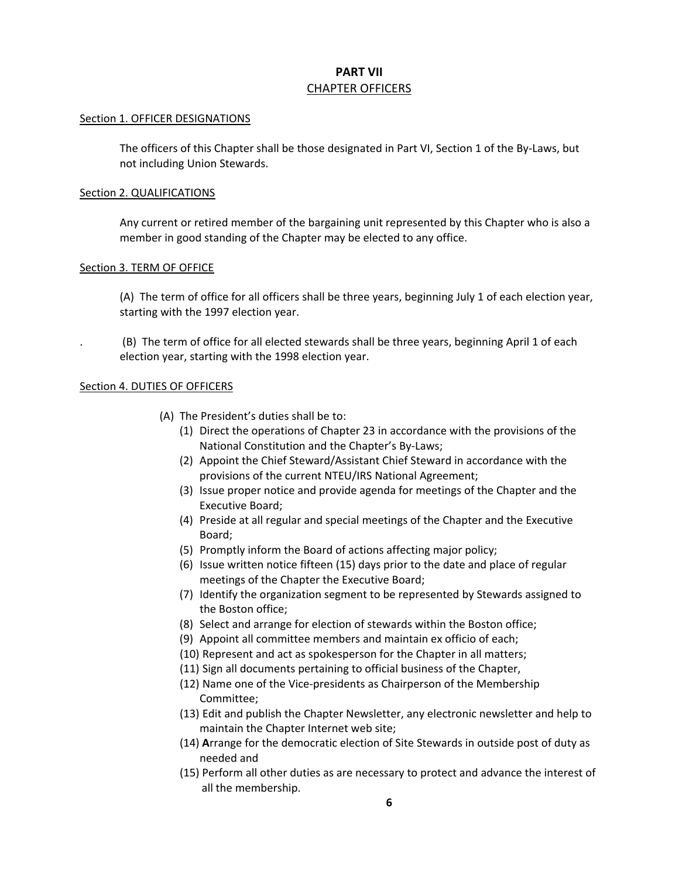## **PART VII**  CHAPTER OFFICERS

#### Section 1. OFFICER DESIGNATIONS

The officers of this Chapter shall be those designated in Part VI, Section 1 of the By-Laws, but not including Union Stewards.

#### Section 2. QUALIFICATIONS

 Any current or retired member of the bargaining unit represented by this Chapter who is also a member in good standing of the Chapter may be elected to any office.

#### Section 3. TERM OF OFFICE

(A) The term of office for all officers shall be three years, beginning July 1 of each election year, starting with the 1997 election year.

. (B) The term of office for all elected stewards shall be three years, beginning April 1 of each election year, starting with the 1998 election year.

#### Section 4. DUTIES OF OFFICERS

- (A) The President's duties shall be to:
	- (1) Direct the operations of Chapter 23 in accordance with the provisions of the National Constitution and the Chapter's By-Laws;
	- (2) Appoint the Chief Steward/Assistant Chief Steward in accordance with the provisions of the current NTEU/IRS National Agreement;
	- (3) Issue proper notice and provide agenda for meetings of the Chapter and the Executive Board;
	- (4) Preside at all regular and special meetings of the Chapter and the Executive Board;
	- (5) Promptly inform the Board of actions affecting major policy;
	- (6) Issue written notice fifteen (15) days prior to the date and place of regular meetings of the Chapter the Executive Board;
	- (7) Identify the organization segment to be represented by Stewards assigned to the Boston office;
	- (8) Select and arrange for election of stewards within the Boston office;
	- (9) Appoint all committee members and maintain ex officio of each;
	- (10) Represent and act as spokesperson for the Chapter in all matters;
	- (11) Sign all documents pertaining to official business of the Chapter,
	- (12) Name one of the Vice-presidents as Chairperson of the Membership Committee;
	- (13) Edit and publish the Chapter Newsletter, any electronic newsletter and help to maintain the Chapter Internet web site;
	- (14) **A**rrange for the democratic election of Site Stewards in outside post of duty as needed and
	- (15) Perform all other duties as are necessary to protect and advance the interest of all the membership.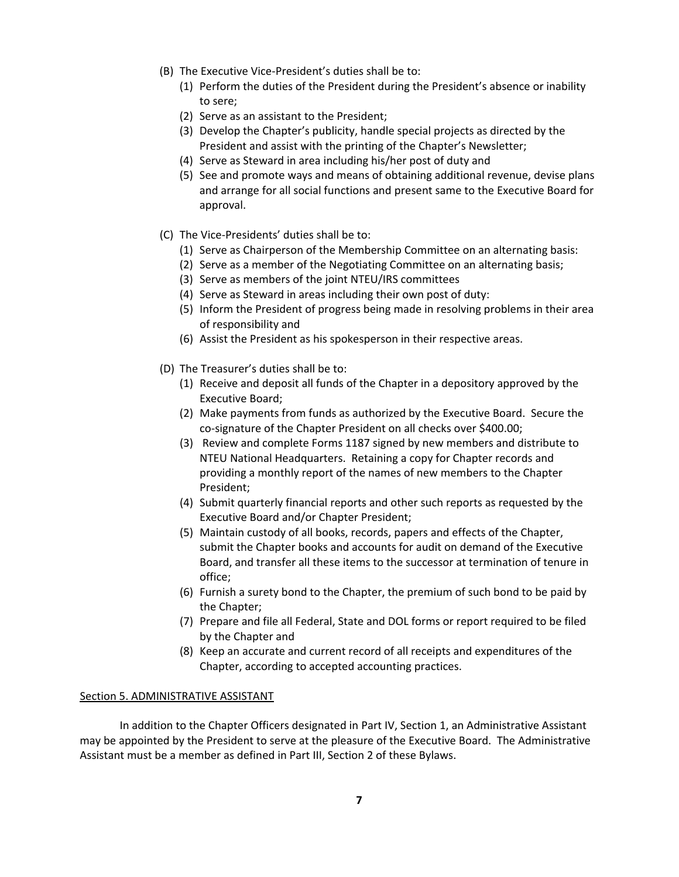- (B) The Executive Vice-President's duties shall be to:
	- (1) Perform the duties of the President during the President's absence or inability to sere;
	- (2) Serve as an assistant to the President;
	- (3) Develop the Chapter's publicity, handle special projects as directed by the President and assist with the printing of the Chapter's Newsletter;
	- (4) Serve as Steward in area including his/her post of duty and
	- (5) See and promote ways and means of obtaining additional revenue, devise plans and arrange for all social functions and present same to the Executive Board for approval.
- (C) The Vice-Presidents' duties shall be to:
	- (1) Serve as Chairperson of the Membership Committee on an alternating basis:
	- (2) Serve as a member of the Negotiating Committee on an alternating basis;
	- (3) Serve as members of the joint NTEU/IRS committees
	- (4) Serve as Steward in areas including their own post of duty:
	- (5) Inform the President of progress being made in resolving problems in their area of responsibility and
	- (6) Assist the President as his spokesperson in their respective areas.
- (D) The Treasurer's duties shall be to:
	- (1) Receive and deposit all funds of the Chapter in a depository approved by the Executive Board;
	- (2) Make payments from funds as authorized by the Executive Board. Secure the co-signature of the Chapter President on all checks over \$400.00;
	- (3) Review and complete Forms 1187 signed by new members and distribute to NTEU National Headquarters. Retaining a copy for Chapter records and providing a monthly report of the names of new members to the Chapter President;
	- (4) Submit quarterly financial reports and other such reports as requested by the Executive Board and/or Chapter President;
	- (5) Maintain custody of all books, records, papers and effects of the Chapter, submit the Chapter books and accounts for audit on demand of the Executive Board, and transfer all these items to the successor at termination of tenure in office;
	- (6) Furnish a surety bond to the Chapter, the premium of such bond to be paid by the Chapter;
	- (7) Prepare and file all Federal, State and DOL forms or report required to be filed by the Chapter and
	- (8) Keep an accurate and current record of all receipts and expenditures of the Chapter, according to accepted accounting practices.

#### Section 5. ADMINISTRATIVE ASSISTANT

In addition to the Chapter Officers designated in Part IV, Section 1, an Administrative Assistant may be appointed by the President to serve at the pleasure of the Executive Board. The Administrative Assistant must be a member as defined in Part III, Section 2 of these Bylaws.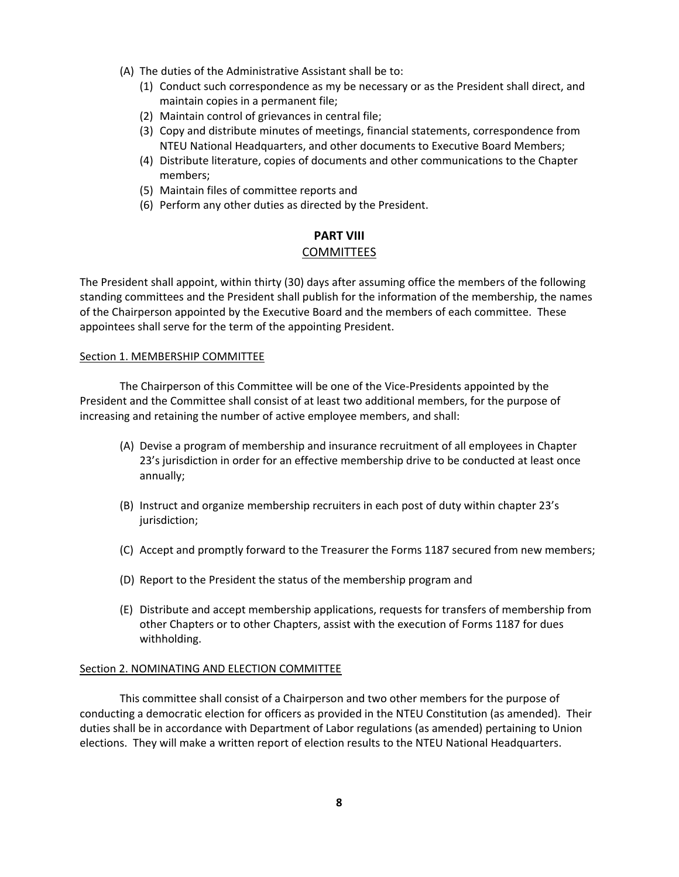- (A) The duties of the Administrative Assistant shall be to:
	- (1) Conduct such correspondence as my be necessary or as the President shall direct, and maintain copies in a permanent file;
	- (2) Maintain control of grievances in central file;
	- (3) Copy and distribute minutes of meetings, financial statements, correspondence from NTEU National Headquarters, and other documents to Executive Board Members;
	- (4) Distribute literature, copies of documents and other communications to the Chapter members;
	- (5) Maintain files of committee reports and
	- (6) Perform any other duties as directed by the President.

## **PART VIII**  COMMITTEES

The President shall appoint, within thirty (30) days after assuming office the members of the following standing committees and the President shall publish for the information of the membership, the names of the Chairperson appointed by the Executive Board and the members of each committee. These appointees shall serve for the term of the appointing President.

#### Section 1. MEMBERSHIP COMMITTEE

The Chairperson of this Committee will be one of the Vice-Presidents appointed by the President and the Committee shall consist of at least two additional members, for the purpose of increasing and retaining the number of active employee members, and shall:

- (A) Devise a program of membership and insurance recruitment of all employees in Chapter 23's jurisdiction in order for an effective membership drive to be conducted at least once annually;
- (B) Instruct and organize membership recruiters in each post of duty within chapter 23's jurisdiction;
- (C) Accept and promptly forward to the Treasurer the Forms 1187 secured from new members;
- (D) Report to the President the status of the membership program and
- (E) Distribute and accept membership applications, requests for transfers of membership from other Chapters or to other Chapters, assist with the execution of Forms 1187 for dues withholding.

#### Section 2. NOMINATING AND ELECTION COMMITTEE

 This committee shall consist of a Chairperson and two other members for the purpose of conducting a democratic election for officers as provided in the NTEU Constitution (as amended). Their duties shall be in accordance with Department of Labor regulations (as amended) pertaining to Union elections. They will make a written report of election results to the NTEU National Headquarters.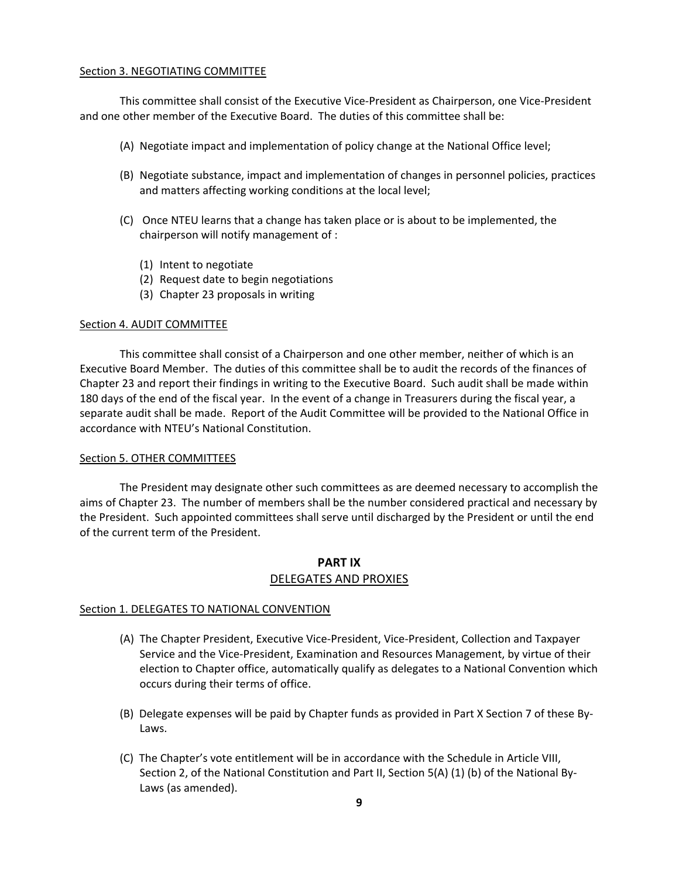#### Section 3. NEGOTIATING COMMITTEE

 This committee shall consist of the Executive Vice-President as Chairperson, one Vice-President and one other member of the Executive Board. The duties of this committee shall be:

- (A) Negotiate impact and implementation of policy change at the National Office level;
- (B) Negotiate substance, impact and implementation of changes in personnel policies, practices and matters affecting working conditions at the local level;
- (C) Once NTEU learns that a change has taken place or is about to be implemented, the chairperson will notify management of :
	- (1) Intent to negotiate
	- (2) Request date to begin negotiations
	- (3) Chapter 23 proposals in writing

#### Section 4. AUDIT COMMITTEE

 This committee shall consist of a Chairperson and one other member, neither of which is an Executive Board Member. The duties of this committee shall be to audit the records of the finances of Chapter 23 and report their findings in writing to the Executive Board. Such audit shall be made within 180 days of the end of the fiscal year. In the event of a change in Treasurers during the fiscal year, a separate audit shall be made. Report of the Audit Committee will be provided to the National Office in accordance with NTEU's National Constitution.

#### Section 5. OTHER COMMITTEES

 The President may designate other such committees as are deemed necessary to accomplish the aims of Chapter 23. The number of members shall be the number considered practical and necessary by the President. Such appointed committees shall serve until discharged by the President or until the end of the current term of the President.

### **PART IX**  DELEGATES AND PROXIES

#### Section 1. DELEGATES TO NATIONAL CONVENTION

- (A) The Chapter President, Executive Vice-President, Vice-President, Collection and Taxpayer Service and the Vice-President, Examination and Resources Management, by virtue of their election to Chapter office, automatically qualify as delegates to a National Convention which occurs during their terms of office.
- (B) Delegate expenses will be paid by Chapter funds as provided in Part X Section 7 of these By-Laws.
- (C) The Chapter's vote entitlement will be in accordance with the Schedule in Article VIII, Section 2, of the National Constitution and Part II, Section 5(A) (1) (b) of the National By-Laws (as amended).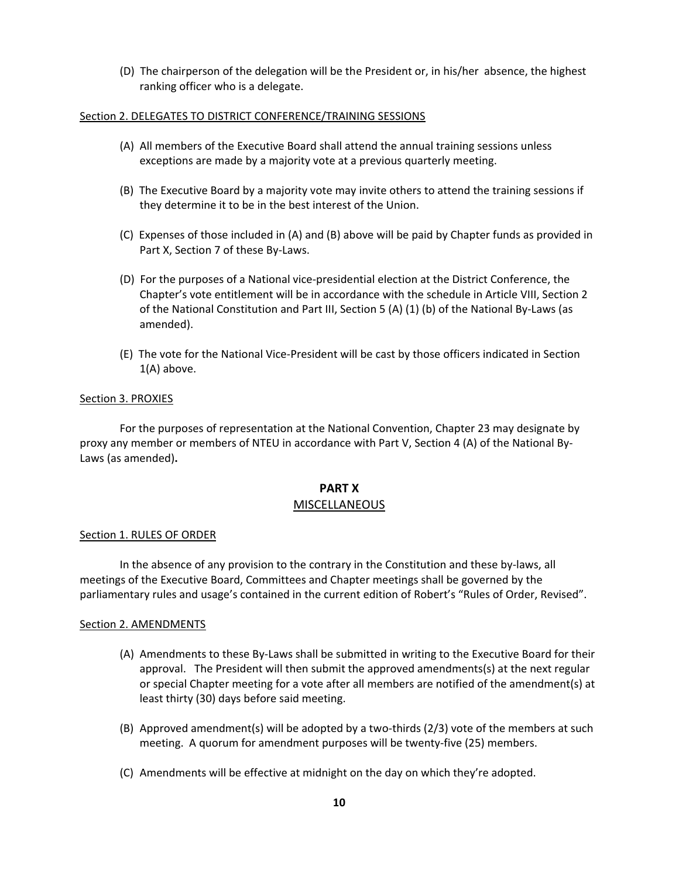(D) The chairperson of the delegation will be the President or, in his/her absence, the highest ranking officer who is a delegate.

#### Section 2. DELEGATES TO DISTRICT CONFERENCE/TRAINING SESSIONS

- (A) All members of the Executive Board shall attend the annual training sessions unless exceptions are made by a majority vote at a previous quarterly meeting.
- (B) The Executive Board by a majority vote may invite others to attend the training sessions if they determine it to be in the best interest of the Union.
- (C) Expenses of those included in (A) and (B) above will be paid by Chapter funds as provided in Part X, Section 7 of these By-Laws.
- (D) For the purposes of a National vice-presidential election at the District Conference, the Chapter's vote entitlement will be in accordance with the schedule in Article VIII, Section 2 of the National Constitution and Part III, Section 5 (A) (1) (b) of the National By-Laws (as amended).
- (E) The vote for the National Vice-President will be cast by those officers indicated in Section 1(A) above.

#### Section 3. PROXIES

For the purposes of representation at the National Convention, Chapter 23 may designate by proxy any member or members of NTEU in accordance with Part V, Section 4 (A) of the National By-Laws (as amended)**.** 

# **PART X**

### MISCELLANEOUS

### Section 1. RULES OF ORDER

 In the absence of any provision to the contrary in the Constitution and these by-laws, all meetings of the Executive Board, Committees and Chapter meetings shall be governed by the parliamentary rules and usage's contained in the current edition of Robert's "Rules of Order, Revised".

#### Section 2. AMENDMENTS

- (A) Amendments to these By-Laws shall be submitted in writing to the Executive Board for their approval. The President will then submit the approved amendments(s) at the next regular or special Chapter meeting for a vote after all members are notified of the amendment(s) at least thirty (30) days before said meeting.
- (B) Approved amendment(s) will be adopted by a two-thirds (2/3) vote of the members at such meeting. A quorum for amendment purposes will be twenty-five (25) members.
- (C) Amendments will be effective at midnight on the day on which they're adopted.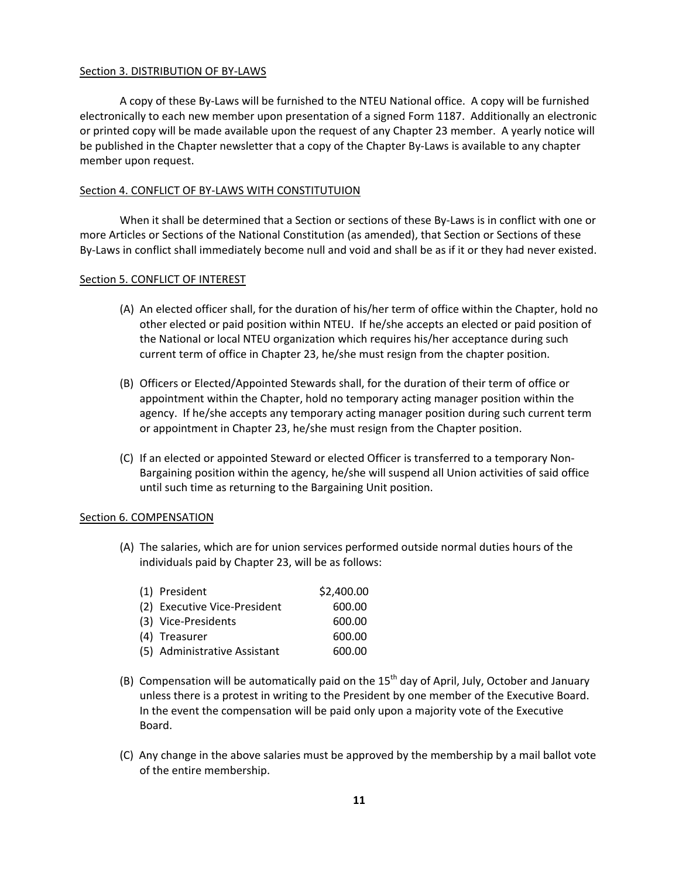#### Section 3. DISTRIBUTION OF BY-LAWS

 A copy of these By-Laws will be furnished to the NTEU National office. A copy will be furnished electronically to each new member upon presentation of a signed Form 1187. Additionally an electronic or printed copy will be made available upon the request of any Chapter 23 member. A yearly notice will be published in the Chapter newsletter that a copy of the Chapter By-Laws is available to any chapter member upon request.

#### Section 4. CONFLICT OF BY-LAWS WITH CONSTITUTUION

 When it shall be determined that a Section or sections of these By-Laws is in conflict with one or more Articles or Sections of the National Constitution (as amended), that Section or Sections of these By-Laws in conflict shall immediately become null and void and shall be as if it or they had never existed.

#### Section 5. CONFLICT OF INTEREST

- (A) An elected officer shall, for the duration of his/her term of office within the Chapter, hold no other elected or paid position within NTEU. If he/she accepts an elected or paid position of the National or local NTEU organization which requires his/her acceptance during such current term of office in Chapter 23, he/she must resign from the chapter position.
- (B) Officers or Elected/Appointed Stewards shall, for the duration of their term of office or appointment within the Chapter, hold no temporary acting manager position within the agency. If he/she accepts any temporary acting manager position during such current term or appointment in Chapter 23, he/she must resign from the Chapter position.
- (C) If an elected or appointed Steward or elected Officer is transferred to a temporary Non-Bargaining position within the agency, he/she will suspend all Union activities of said office until such time as returning to the Bargaining Unit position.

#### Section 6. COMPENSATION

(A) The salaries, which are for union services performed outside normal duties hours of the individuals paid by Chapter 23, will be as follows:

| (1) President                | \$2,400.00 |
|------------------------------|------------|
| (2) Executive Vice-President | 600.00     |
| (3) Vice-Presidents          | 600.00     |
| (4) Treasurer                | 600.00     |
| (5) Administrative Assistant | 600.00     |

- (B) Compensation will be automatically paid on the  $15<sup>th</sup>$  day of April, July, October and January unless there is a protest in writing to the President by one member of the Executive Board. In the event the compensation will be paid only upon a majority vote of the Executive Board.
- (C) Any change in the above salaries must be approved by the membership by a mail ballot vote of the entire membership.